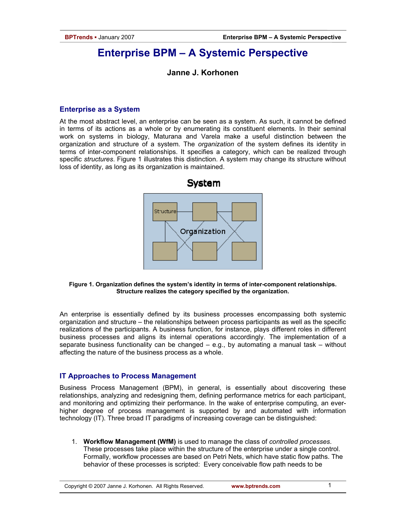# **Enterprise BPM – A Systemic Perspective**

## **Janne J. Korhonen**

### **Enterprise as a System**

At the most abstract level, an enterprise can be seen as a system. As such, it cannot be defined in terms of its actions as a whole or by enumerating its constituent elements. In their seminal work on systems in biology, Maturana and Varela make a useful distinction between the organization and structure of a system. The *organization* of the system defines its identity in terms of inter-component relationships. It specifies a category, which can be realized through specific *structures*. Figure 1 illustrates this distinction. A system may change its structure without loss of identity, as long as its organization is maintained.



**Figure 1. Organization defines the system's identity in terms of inter-component relationships. Structure realizes the category specified by the organization.** 

An enterprise is essentially defined by its business processes encompassing both systemic organization and structure – the relationships between process participants as well as the specific realizations of the participants. A business function, for instance, plays different roles in different business processes and aligns its internal operations accordingly. The implementation of a separate business functionality can be changed – e.g., by automating a manual task – without affecting the nature of the business process as a whole.

### **IT Approaches to Process Management**

Business Process Management (BPM), in general, is essentially about discovering these relationships, analyzing and redesigning them, defining performance metrics for each participant, and monitoring and optimizing their performance. In the wake of enterprise computing, an everhigher degree of process management is supported by and automated with information technology (IT). Three broad IT paradigms of increasing coverage can be distinguished:

1. **Workflow Management (WfM)** is used to manage the class of *controlled processes*. These processes take place within the structure of the enterprise under a single control. Formally, workflow processes are based on Petri Nets, which have static flow paths. The behavior of these processes is scripted: Every conceivable flow path needs to be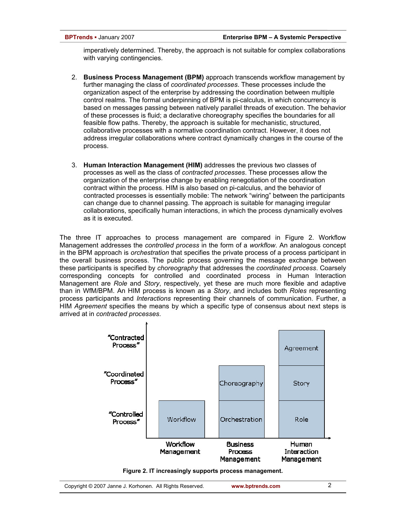imperatively determined. Thereby, the approach is not suitable for complex collaborations with varying contingencies.

- 2. **Business Process Management (BPM)** approach transcends workflow management by further managing the class of *coordinated processes*. These processes include the organization aspect of the enterprise by addressing the coordination between multiple control realms. The formal underpinning of BPM is pi-calculus, in which concurrency is based on messages passing between natively parallel threads of execution. The behavior of these processes is fluid; a declarative choreography specifies the boundaries for all feasible flow paths. Thereby, the approach is suitable for mechanistic, structured, collaborative processes with a normative coordination contract. However, it does not address irregular collaborations where contract dynamically changes in the course of the process.
- 3. **Human Interaction Management (HIM)** addresses the previous two classes of processes as well as the class of *contracted processes*. These processes allow the organization of the enterprise change by enabling renegotiation of the coordination contract within the process. HIM is also based on pi-calculus, and the behavior of contracted processes is essentially mobile: The network "wiring" between the participants can change due to channel passing. The approach is suitable for managing irregular collaborations, specifically human interactions, in which the process dynamically evolves as it is executed.

The three IT approaches to process management are compared in Figure 2. Workflow Management addresses the *controlled process* in the form of a *workflow*. An analogous concept in the BPM approach is *orchestration* that specifies the private process of a process participant in the overall business process. The public process governing the message exchange between these participants is specified by *choreography* that addresses the *coordinated process*. Coarsely corresponding concepts for controlled and coordinated process in Human Interaction Management are *Role* and *Story*, respectively, yet these are much more flexible and adaptive than in WfM/BPM. An HIM process is known as a *Story*, and includes both *Roles* representing process participants and *Interactions* representing their channels of communication. Further, a HIM *Agreement* specifies the means by which a specific type of consensus about next steps is arrived at in *contracted processes*.



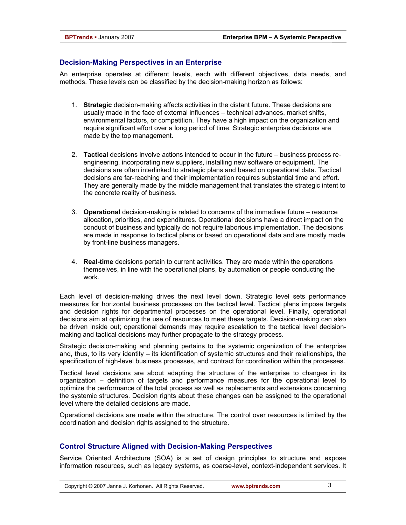### **Decision-Making Perspectives in an Enterprise**

An enterprise operates at different levels, each with different objectives, data needs, and methods. These levels can be classified by the decision-making horizon as follows:

- 1. **Strategic** decision-making affects activities in the distant future. These decisions are usually made in the face of external influences – technical advances, market shifts, environmental factors, or competition. They have a high impact on the organization and require significant effort over a long period of time. Strategic enterprise decisions are made by the top management.
- 2. **Tactical** decisions involve actions intended to occur in the future business process reengineering, incorporating new suppliers, installing new software or equipment. The decisions are often interlinked to strategic plans and based on operational data. Tactical decisions are far-reaching and their implementation requires substantial time and effort. They are generally made by the middle management that translates the strategic intent to the concrete reality of business.
- 3. **Operational** decision-making is related to concerns of the immediate future resource allocation, priorities, and expenditures. Operational decisions have a direct impact on the conduct of business and typically do not require laborious implementation. The decisions are made in response to tactical plans or based on operational data and are mostly made by front-line business managers.
- 4. **Real-time** decisions pertain to current activities. They are made within the operations themselves, in line with the operational plans, by automation or people conducting the work.

Each level of decision-making drives the next level down. Strategic level sets performance measures for horizontal business processes on the tactical level. Tactical plans impose targets and decision rights for departmental processes on the operational level. Finally, operational decisions aim at optimizing the use of resources to meet these targets. Decision-making can also be driven inside out; operational demands may require escalation to the tactical level decisionmaking and tactical decisions may further propagate to the strategy process.

Strategic decision-making and planning pertains to the systemic organization of the enterprise and, thus, to its very identity – its identification of systemic structures and their relationships, the specification of high-level business processes, and contract for coordination within the processes.

Tactical level decisions are about adapting the structure of the enterprise to changes in its organization – definition of targets and performance measures for the operational level to optimize the performance of the total process as well as replacements and extensions concerning the systemic structures. Decision rights about these changes can be assigned to the operational level where the detailed decisions are made.

Operational decisions are made within the structure. The control over resources is limited by the coordination and decision rights assigned to the structure.

### **Control Structure Aligned with Decision-Making Perspectives**

Service Oriented Architecture (SOA) is a set of design principles to structure and expose information resources, such as legacy systems, as coarse-level, context-independent services. It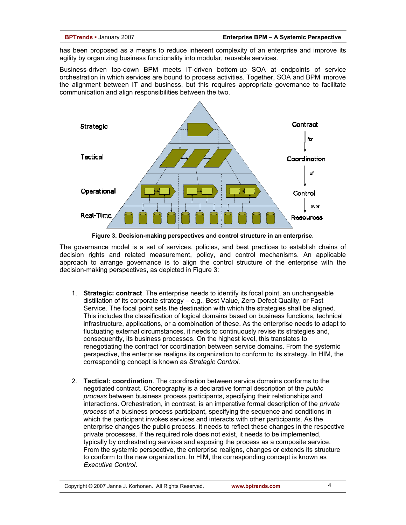has been proposed as a means to reduce inherent complexity of an enterprise and improve its agility by organizing business functionality into modular, reusable services.

Business-driven top-down BPM meets IT-driven bottom-up SOA at endpoints of service orchestration in which services are bound to process activities. Together, SOA and BPM improve the alignment between IT and business, but this requires appropriate governance to facilitate communication and align responsibilities between the two.



**Figure 3. Decision-making perspectives and control structure in an enterprise.** 

The governance model is a set of services, policies, and best practices to establish chains of decision rights and related measurement, policy, and control mechanisms. An applicable approach to arrange governance is to align the control structure of the enterprise with the decision-making perspectives, as depicted in Figure 3:

- 1. **Strategic: contract**. The enterprise needs to identify its focal point, an unchangeable distillation of its corporate strategy – e.g., Best Value, Zero-Defect Quality, or Fast Service. The focal point sets the destination with which the strategies shall be aligned. This includes the classification of logical domains based on business functions, technical infrastructure, applications, or a combination of these. As the enterprise needs to adapt to fluctuating external circumstances, it needs to continuously revise its strategies and, consequently, its business processes. On the highest level, this translates to renegotiating the contract for coordination between service domains. From the systemic perspective, the enterprise realigns its organization to conform to its strategy. In HIM, the corresponding concept is known as *Strategic Control*.
- 2. **Tactical: coordination**. The coordination between service domains conforms to the negotiated contract. Choreography is a declarative formal description of the *public process* between business process participants, specifying their relationships and interactions. Orchestration, in contrast, is an imperative formal description of the *private process* of a business process participant, specifying the sequence and conditions in which the participant invokes services and interacts with other participants. As the enterprise changes the public process, it needs to reflect these changes in the respective private processes. If the required role does not exist, it needs to be implemented, typically by orchestrating services and exposing the process as a composite service. From the systemic perspective, the enterprise realigns, changes or extends its structure to conform to the new organization. In HIM, the corresponding concept is known as *Executive Control*.